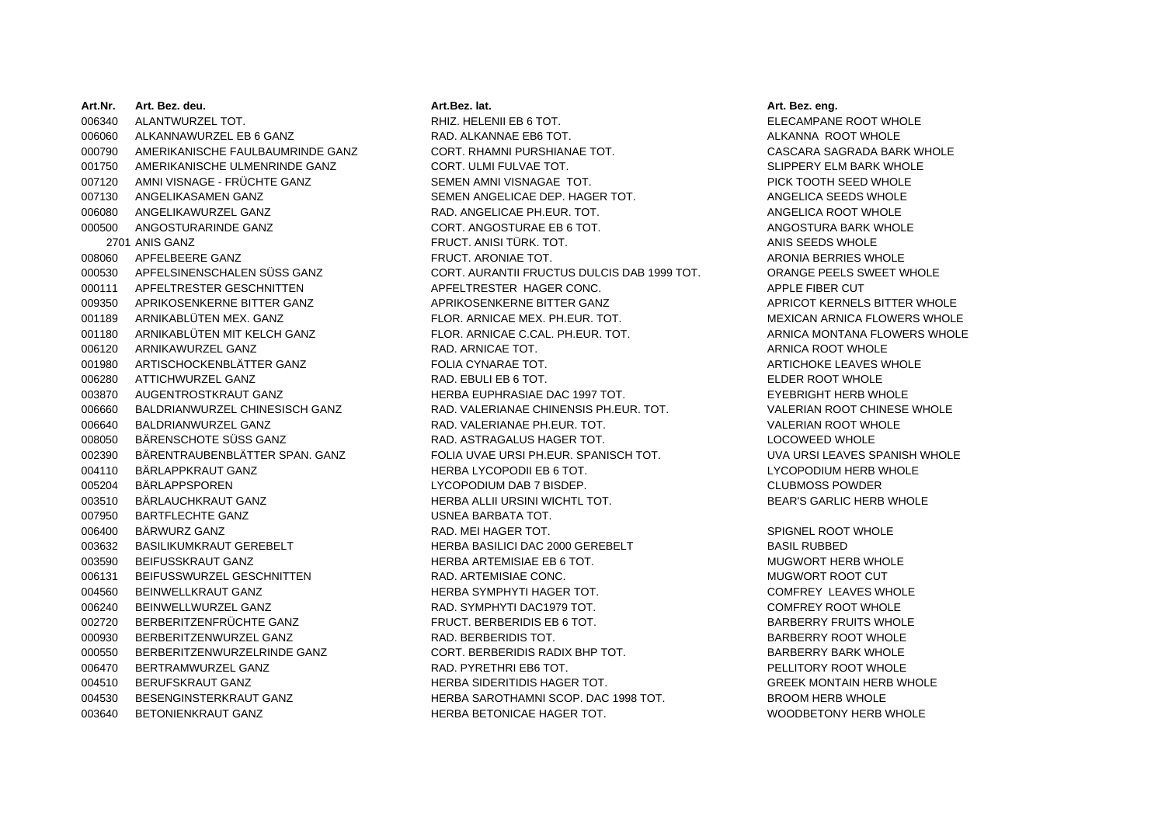**Art.Nr. Art. Bez. deu. Art.Bez. lat. Art. Bez. eng.** 006340 ALANTWURZEL TOT. THE STATE RELEVILLE IN THE RELECT RELECT AND RELECT AND MOVE AND RELECT AND RELECT AND MUSLE 006060 ALKANNAWURZEL EB 6 GANZ RAD. ALKANNAE EB6 TOT. ALKANNA ROOT WHOLE 000790 AMERIKANISCHE FAULBAUMRINDE GANZ CORT. RHAMNI PURSHIANAE TOT. CASCARA SAGRADA BARK WHOLE 001750 AMERIKANISCHE ULMENRINDE GANZ CORT. ULMI FULVAE TOT. SLIPPERY ELM BARK WHOLE 007120 AMNI VISNAGE - FRÜCHTE GANZ SEMEN AMNI VISNAGAE TOT. SEMEN AMNI VISNAGAE TOT. 007130 ANGELIKASAMEN GANZ SEMEN ANGELICAE DEP. HAGER TOT. SANGELICA SEEDS WHOLE 006080 ANGELIKAWURZEL GANZ CHE SANG HAD. ANGELICAE PH.EUR. TOT. ANGELICA ROOT WHOLE 000500 ANGOSTURARINDE GANZ CORT. ANGOSTURAE EB 6 TOT. ANGOSTURA BARK WHOLE008060 APFELBEERE GANZ FRUCT. ARONIAE TOT. ARONIA BERRIES WHOLE000530 APFELSINENSCHALEN SÜSS GANZ CORT. AURANTII FRUCTUS DULCIS DAB 1999 TOT. ORANGE PEELS SWEET WHOLE000111 APFELTRESTER GESCHNITTEN APELITRESTER HAGER CONC. APPLE FIBER CUT 009350 APRIKOSENKERNE BITTER GANZ APRIKOSENKERNE BITTER GANZ APRICOT KERNELS BITTER WHOLE 001189 ARNIKABLÜTEN MEX. GANZ FLOR ARNICAE MEX. PH. FLIR. TOT. TOT MEXICAN ARNICA FLOWERS WHOLE 001180 ARNIKABLÜTEN MIT KELCH GANZ FLOR. ARNICAE C.CAL. PH.EUR. TOT. ARNICA MONTANA FLOWERS WHOLE 006120 ARNIKAWURZEL GANZ RAD. ARNICAE TOT. ARNICAE TOT. ARNICA ROOT WHOLE 001980 ARTISCHOCKENBLÄTTER GANZ FOLIA CYNARAE TOT. THE SAND SETTLE HOTEL ARTICHOKE LEAVES WHOLE 006280 ATTICHWURZEL GANZ RAD. EBULI EB 6 TOT. THE SECOND MODE CONTROLLED A SECOND WHOLE 003870 AUGENTROSTKRAUT GANZ HERBA EUPHRASIAE DAC 1997 TOT. THERE HERB WHOLE 006660 BALDRIANWURZEL CHINESISCH GANZ RAD. VALERIANAE CHINENSIS PH.EUR. TOT. VALERIAN ROOT CHINESE WHOLE 006640 BALDRIANWURZEL GANZ CHEERIANA RAD. VALERIANAE PH.EUR. TOT. CHEERIAN ROOT WHOLE 008050 BÄRENSCHOTE SÜSS GANZ CHE SEINE SEINE SEINE SEINE SEINE ASTRAGALUS HAGER TOT. SEINE SEINE SEINE LOCOWEED WHOLE 002390 BÄRENTRAUBENBLÄTTER SPAN. GANZ FOLIA UVAE URSI PH.EUR. SPANISCH TOT. UVA URSI LEAVES SPANISH WHOLE004110 BÄRLAPPKRAUT GANZ CHERBA LYCOPODI EB 6 TOT. LYCOPODIUM HERB WHOLE 005204 BÄRLAPPSPOREN LYCOPODIUM DAB 7 BISDEP. CLUBMOSS POWDER003510 BÄRLAUCHKRAUT GANZ HERBA ALLII URSINI WICHTL TOT. HERBA ALLII URSINI WICHTL TOT. 007950 BARTFLECHTE GANZ USNEA BARBATA TOT. 006400 BÄRWURZ GANZ SANG SERIES AND THE MAGER TOT. SPIGNEL ROOT WHOLE SPIGNEL ROOT WHOLE 003632 BASILIKUMKRAUT GEREBELT HERBA BASILICI DAC 2000 GEREBELT BASIL RUBBED003590 BEIFUSSKRAUT GANZ HERBA ARTEMISIAE EB 6 TOT. HERBA ARTEMISIAE EB 6 TOT. 006131 BEIFUSSWURZEL GESCHNITTEN RAD. ARTEMISIAE CONC. MUGWORT ROOT CUT004560 BEINWELLKRAUT GANZ CHERBA SYMPHYTI HAGER TOT. THERBA SYMPHYTI HAGER TOT. 006240 BEINWELLWURZEL GANZ COMFREY ROOT WHOLE 002720 BERBERITZENFRÜCHTE GANZ FRUCT. BERBERIDIS EB 6 TOT. SANDER BARBERRY FRUITS WHOLE 000930 BERBERITZENWURZEL GANZ RAD BERBERIDIS TOT. THE SERBERIDIS TOT SARBERRY ROOT WHOLE 000550 BERBERITZENWURZELRINDE GANZ CORT. BERBERIDIS RADIX BHP TOT. SARBERRY BARK WHOLE 006470 BERTRAMWURZEL GANZ CONTROLLED BAD. PYRETHRI EB6 TOT. THE SECOND PELLITORY ROOT WHOLE 004510 BERUFSKRAUT GANZ HERBA SIDERITIDIS HAGER TOT. HERBA SIDERITIDIS HAGER TOT. GREEK MONTAIN HERB WHOLE 004530 BESENGINSTERKRAUT GANZ HERBA SAROTHAMNI SCOP. DAC 1998 TOT. BROOM HERB WHOLE 003640 BETONIENKRAUT GANZ CHERBA HERBA BETONICAE HAGER TOT. THE SAND MOODBETONY HERB WHOLE

2701 ANIS GANZ FRUCT. ANISI TÜRK. TOT. ANISI TÜRK. TOT. ANIS SEEDS WHOLE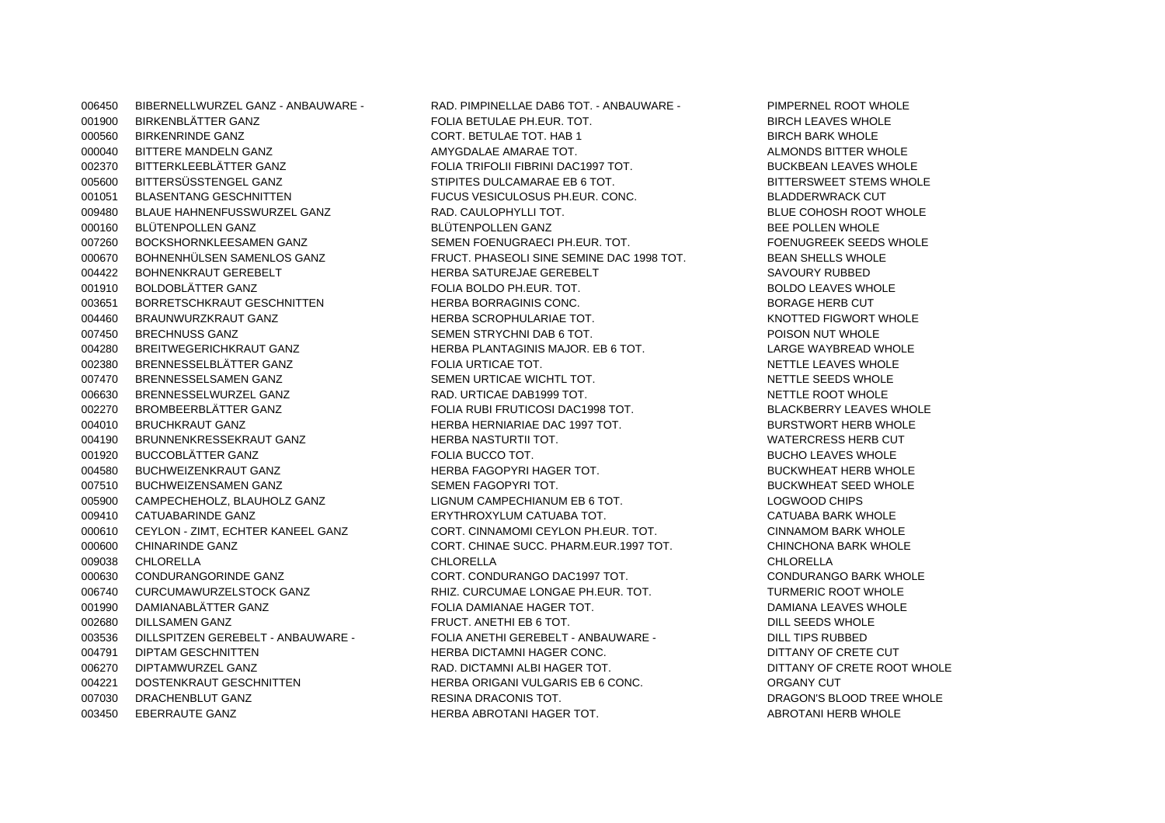001900 BIRKENBLÄTTER GANZ FOLIA BETULAE PH.EUR. TOT. SINCH LEAVES WHOLE 000560 BIRKENRINDE GANZ CORT. BETULAE TOT. HAB 1 BIRCH BARK WHOLE000040 BITTERE MANDELN GANZ AMARAE AMARAE TOT AMARAE TOT ALMONDS BITTER WHOLE 002370 BITTERKLEEBLÄTTER GANZ FOLIA TRIFOLII FIBRINI DAC1997 TOT. SUCKBEAN LEAVES WHOLE 005600 BITTERSÜSSTENGEL GANZ STIPITES DULCAMARAE EB 6 TOT. STIPITES DULCAMARAE EB 6 TOT. 001051 BLASENTANG GESCHNITTEN FUCUS VESICULOSUS PH.EUR. CONC. BLADDERWRACK CUT009480 BLAUE HAHNENFUSSWURZEL GANZ RAD. CAULOPHYLLI TOT. SAND BLUE COHOSH ROOT WHOLE 000160 BLÜTENPOLLEN GANZ BLÜTENPOLLEN GANZ BEE POLLEN WHOLE 007260 BOCKSHORNKLEESAMEN GANZ SEMEN FOENUGRAECI PH.EUR. TOT. SEMEN FOENUGREEK SEEDS WHOLE 000670 BOHNENHÜLSEN SAMENLOS GANZ FRUCT. PHASEOLI SINE SEMINE DAC 1998 TOT. BEAN SHELLS WHOLE004422 BOHNENKRAUT GEREBELT EXAMPLE HERBA SATUREJAE GEREBELT SAVOURY RUBBED 001910 BOLDOBLÄTTER GANZ EXAMPLE TO LA BOLDO PH.EUR. TOT. TOT BOLDO LEAVES WHOLE 003651 BORRETSCHKRAUT GESCHNITTEN HERBA BORRAGINIS CONC. BORAGE HERB CUT004460 BRAUNWURZKRAUT GANZ HERBA SCROPHULARIAE TOT AND THERA SCROPHULARIAE TOT A LANGE TOT A LANGE TOT A LANGE TOT 007450 BRECHNUSS GANZ CHARGE SEMEN STRYCHNI DAB 6 TOT. THE SEMEN STRYCHNI DAB 6 TOT. 004280 BREITWEGERICHKRAUT GANZ HERBA PLANTAGINIS MAJOR. EB 6 TOT. LARGE WAYBREAD WHOLE 002380 BRENNESSELBLÄTTER GANZ FOLIA URTICAE TOT. NETTLE LEAVES WHOLE 007470 BRENNESSELSAMEN GANZ SEMEN URTICAE WICHTL TOT. SEMEN URTICAE WICHTL TOT. 006630 BRENNESSELWURZEL GANZ CONNECTION RAD. URTICAE DAB1999 TOT. NETTLE ROOT WHOLE 002270 BROMBEERBLÄTTER GANZ ENDER FOLIA RUBI FRUTICOSI DAC1998 TOT. BLACKBERRY LEAVES WHOLE 004010 BRUCHKRAUT GANZ **HERBA HERBA HERBA HERNIARIAE DAC 1997 TOT.** BURSTWORT HERB WHOLE 004190 BRUNNENKRESSEKRAUT GANZ HERBA NASTURTII TOT. WATERCRESS HERB CUT 001920 BUCCOBLÄTTER GANZ CONTROLLER BUCCO TOT. A GALLERY BUCHO LEAVES WHOLE 004580 BUCHWEIZENKRAUT GANZ HERBA FAGOPYRI HAGER TOT. THERBA FAGOPYRI HAGER TOT. 007510 BUCHWEIZENSAMEN GANZ SEMEN FAGOPYRI TOT. SEMEN FAGOPYRI TOT SEED WHOLE 005900 CAMPECHEHOLZ, BLAUHOLZ GANZ LIGNUM CAMPECHIANUM EB 6 TOT. LOGWOOD CHIPS 009410 CATUABARINDE GANZ CHATUABA TOT CATUABA TOT CATUABA TOT. CATUABA BARK WHOLE 000610 CEYLON - ZIMT, ECHTER KANEEL GANZ CORT, CINNAMOMI CEYLON PH.EUR. TOT. CINNAMOM BARK WHOLE 000600 CHINARINDE GANZ CORT. CHINAE SUCC. PHARM.EUR.1997 TOT. CHINCHONA BARK WHOLE 009038 CHLORELLA CHLORELLA CHLORELLA000630 CONDURANGORINDE GANZ CORT. CONDURANGO DAC1997 TOT. CONDURANGO BARK WHOLE 006740 CURCUMAWURZELSTOCK GANZ CURCUMAE CURCUMAE LONGAE PH.EUR. TOT. THE REALLY CURCUMANURZELSTOCK GANZ 001990 DAMIANABLÄTTER GANZ CONNECTION ON THE FOLIA DAMIANAE HAGER TOT. THE SAMIANA LEAVES WHOLE 002680 DILLSAMEN GANZ FRUCT. ANETHI EB 6 TOT. DILL SEEDS WHOLE003536 DILLSPITZEN GEREBELT - ANBAUWARE - FOLIA ANETHI GEREBELT - ANBAUWARE - DILL TIPS RUBBED 004791 DIPTAM GESCHNITTEN DIE HERBA DICTAMNI HAGER CONC. DITTANY OF CRETE CUT 006270 DIPTAMWURZEL GANZ CHE SANZ RAD. DICTAMNI ALBI HAGER TOT. DICTAM DITTANY OF CRETE ROOT WHOLE 004221 DOSTENKRAUT GESCHNITTEN HERBA ORIGANI VULGARIS EB 6 CONC. ORGANY CUT007030 DRACHENBLUT GANZ CHANGER CHANGER RESINA DRACONIS TOT. THE SERVICE OF SERVICE SERVICE SERVICE SERVICE SE 003450 EBERRAUTE GANZ **HERBA ABROTANI HAGER TOT.** ABROTANI HERB WHOLE

006450 BIBERNELLWURZEL GANZ - ANBAUWARE - RAD. PIMPINELLAE DAB6 TOT. - ANBAUWARE - PIMPERNEL ROOT WHOLE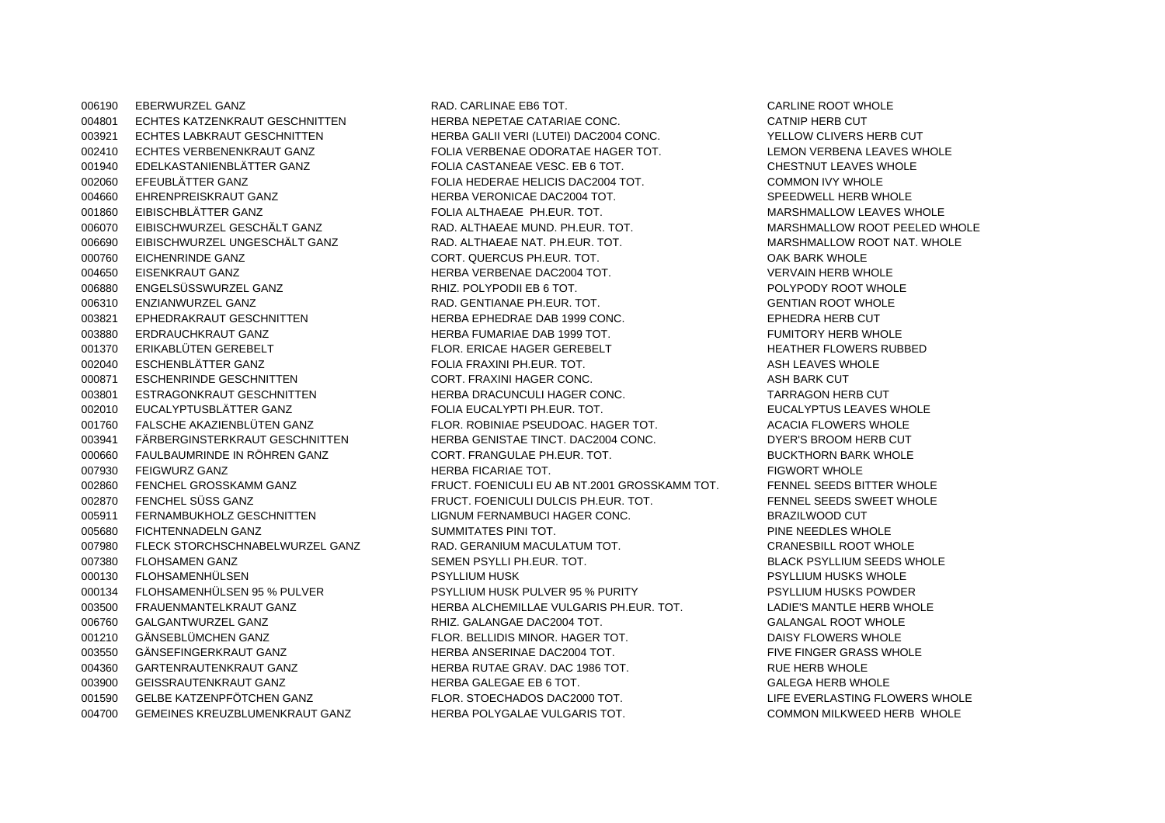006190 EBERWURZEL GANZ CARLINAE EB6 TOT. CARLINAE EB6 TOT. 004801 ECHTES KATZENKRAUT GESCHNITTEN HERBA NEPETAE CATARIAE CONC. CATARIAE CONCERTER CATNIP HERB CUT 003921 ECHTES LABKRAUT GESCHNITTEN HERBA GALII VERI (LUTEI) DAC2004 CONC. YELLOW CLIVERS HERB CUT 002410 ECHTES VERBENENKRAUT GANZ FOLIA VERBENAE ODORATAE HAGER TOT. LEMON VERBENA LEAVES WHOLE 001940 EDELKASTANIENBLÄTTER GANZ FOLIA CASTANEAE VESC. EB 6 TOT. CHESTNUT LEAVES WHOLE 002060 EFEUBLÄTTER GANZ FOLIA HEDERAE HELICIS DAC2004 TOT. COMMON IVY WHOLE004660 EHRENPREISKRAUT GANZ HERBA VERONICAE DAC2004 TOT. SPEEDWELL HERB WHOLE 001860 EIBISCHBLÄTTER GANZ CHEMENT FOLIA ALTHAEAE PH.EUR. TOT. THEMENT MARSHMALLOW LEAVES WHOLE 006070 EIBISCHWURZEL GESCHÄLT GANZ CHANGER ALTHAEAE MUND. PH.EUR. TOT. CHANGER MARSHMALLOW ROOT PEELED WHOLE 006690 EIBISCHWURZEL UNGESCHÄLT GANZ KAD. ALTHAEAE NAT. PH.EUR. TOT. NAT. WARSHMALLOW ROOT NAT. WHOLE 000760 EICHENRINDE GANZ CORT. QUERCUS PH.EUR. TOT. OAK BARK WHOLE004650 EISENKRAUT GANZ HERBA VERBENAE DAC2004 TOT. THERBA VERVAIN HERB WHOLE 006880 ENGELSÜSSWURZEL GANZ RHIZ. POLYPODII EB 6 TOT. POLYPODY ROOT WHOLE006310 ENZIANWURZEL GANZ CHEMEL SANZ RAD. GENTIANAE PH.EUR. TOT. SAND GENTIAN ROOT WHOLE 003821 EPHEDRAKRAUT GESCHNITTEN HERBA EPHEDRAE DAB 1999 CONC. EPHEDRA HERB CUT 003880 ERDRAUCHKRAUT GANZ HERBA FUMARIAE DAB 1999 TOT. THERBA FUMITORY HERB WHOLE 001370 ERIKABLÜTEN GEREBELT FLOR. ERICAE HAGER GEREBELT HEATHER FLOWERS RUBBED002040 ESCHENBLÄTTER GANZ ESTIMATION FOLIA FRAXINI PH.EUR. TOT. ASH LEAVES WHOLE 000871 ESCHENRINDE GESCHNITTEN CORT. FRAXINI HAGER CONC. ASH BARK CUT003801 ESTRAGONKRAUT GESCHNITTEN HERBA DRACUNCULI HAGER CONC. TARRAGON HERB CUT 002010 EUCALYPTUSBLÄTTER GANZ FOLIA EUCALYPTI PH.EUR. TOT. SALLY HEUCALYPTUS LEAVES WHOLE 001760 FALSCHE AKAZIENBLÜTEN GANZ FLOR. ROBINIAE PSEUDOAC. HAGER TOT. ACACIA FLOWERS WHOLE 003941 FÄRBERGINSTERKRAUT GESCHNITTEN HERBA GENISTAE TINCT. DAC2004 CONC. DAS DYER'S BROOM HERB CUT 000660 FAULBAUMRINDE IN RÖHREN GANZ CORT. FRANGULAE PH.EUR. TOT. SALL BUCKTHORN BARK WHOLE 007930 FEIGWURZ GANZ FIGMORT MERBA FICARIAE TOT. THERBA FICARIAE TOT. 002860 FENCHEL GROSSKAMM GANZ FRUCT. FOENICULI EU AB NT.2001 GROSSKAMM TOT. FENNEL SEEDS BITTER WHOLE 002870 FENCHEL SÜSS GANZ FRUCT. FOENICULLI DULCIS PH. FUR. TOT. TOT FENNEL SEEDS SWEET WHOLE 005911 FERNAMBUKHOLZ GESCHNITTEN LIGNUM FERNAMBUCI HAGER CONC. BRAZILWOOD CUT005680 FICHTENNADELN GANZ SUMMITATES PINI TOT. THE SUMMITATES PINI TOT. 007980 FLECK STORCHSCHNABELWURZEL GANZ RAD. GERANIUM MACULATUM TOT. CRANESBILL ROOT WHOLE 007380 FLOHSAMEN GANZ SEMEN PSYLLI PH.EUR. TOT. SEMEN PSYLLI PH.EUR. TOT. 000130 FLOHSAMENHÜLSEN PSYLLIUM HUSK PSYLLIUM HUSKS WHOLE000134 FLOHSAMENHÜLSEN 95 % PULVER PSYLLIUM HUSK PULVER 95 % PURITY PSYLLIUM HUSKS POWDER 003500 FRAUENMANTELKRAUT GANZ HERBA ALCHEMILLAE VULGARIS PH.EUR. TOT. ALADIE'S MANTLE HERB WHOLE 006760 GALGANTWURZEL GANZ CHE SALANGAE GALANGAE DAC2004 TOT. THE SALANGAL ROOT WHOLE 001210 GÄNSEBLÜMCHEN GANZ FLOR BELLIDIS MINOR. HAGER TOT. THE SANG PAISY FLOWERS WHOLE 003550 GÄNSEFINGERKRAUT GANZ HERBA ANSERINAE DAC2004 TOT. THERE HIVE FINGER GRASS WHOLE 004360 GARTENRAUTENKRAUT GANZ HERBA RUTAE GRAV. DAC 1986 TOT. THERBA RUTAE GRAVE HERB WHOLE 003900 GEISSRAUTENKRAUT GANZ HERBA GALEGAE EB 6 TOT. THE GALEGA HERB WHOLE 001590 GELBE KATZENPFÖTCHEN GANZ FLOR. STOECHADOS DAC2000 TOT. STOECHADOS DAC2000 TOT. 004700 GEMEINES KREUZBLUMENKRAUT GANZ HERBA POLYGALAE VULGARIS TOT. COMMON MILKWEED HERB WHOLE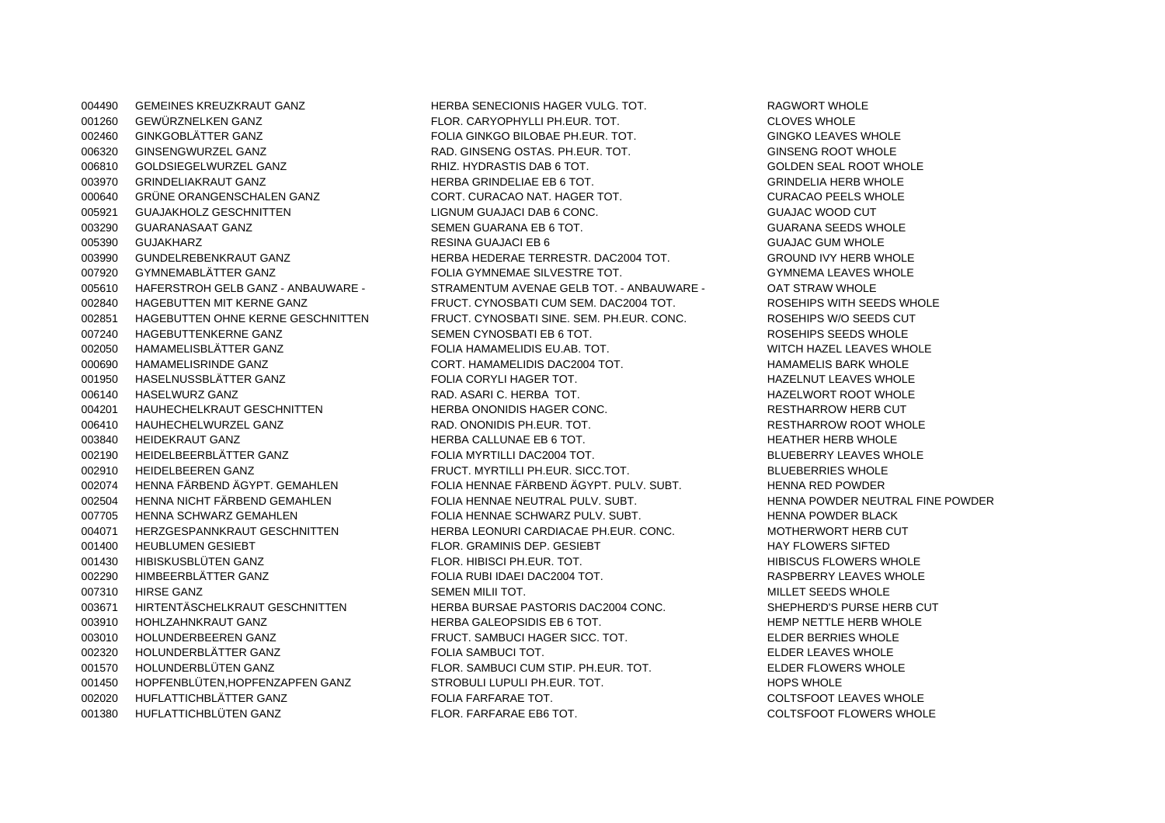004490 GEMEINES KREUZKRAUT GANZ HERBA SENECIONIS HAGER VULG. TOT. THERE AGWORT WHOLE 001260 GEWÜRZNELKEN GANZ FLOR. CARYOPHYLLI PH.EUR. TOT. CLOVES WHOLE 002460 GINKGOBLÄTTER GANZ FOLIA GINKGO BILOBAE PH.EUR. TOT. GINGKO LEAVES WHOLE006320 GINSENGWURZEL GANZ RAD. GINSENG OSTAS. PH.EUR. TOT. GINSENG ROOT WHOLE006810 GOLDSIEGELWURZEL GANZ CHE SANZ RHIZ. HYDRASTIS DAB 6 TOT. THE SAND GOLDEN SEAL ROOT WHOLE 003970 GRINDELIAKRAUT GANZ CHERBA GRINDELIAE EB 6 TOT. THERBA GRINDELIAE EB 6 TOT. 000640 GRÜNE ORANGENSCHALEN GANZ CORT. CURACAO NAT. HAGER TOT. CURACAO PEELS WHOLE005921 GUAJAKHOLZ GESCHNITTEN LIGNUM GUAJACI DAB 6 CONC. GUAJAC WOOD CUT003290 GUARANASAAT GANZ SEMEN GUARANA EB 6 TOT. SEMEN GUARANA SEEDS WHOLE 005390 GUJAKHARZ RESINA GUAJACI EB 6 GUAJAC GUM WHOLE003990 GUNDELREBENKRAUT GANZ HERBA HERBA HEDERAE TERRESTR. DAC2004 TOT. GROUND IVY HERB WHOLE 007920 GYMNEMABLÄTTER GANZ CHANG TOT FOLIA GYMNEMAE SILVESTRE TOT. THE GYMNEMA LEAVES WHOLE 005610 HAFERSTROH GELB GANZ - ANBAUWARE - STRAMENTUM AVENAE GELB TOT. - ANBAUWARE - OAT STRAW WHOLE 002840 HAGEBUTTEN MIT KERNE GANZ FRUCT. CYNOSBATI CUM SEM. DAC2004 TOT. THE ROSEHIPS WITH SEEDS WHOLE 002851 HAGEBUTTEN OHNE KERNE GESCHNITTEN FRUCT. CYNOSBATI SINE. SEM. PH.EUR. CONC. ROSEHIPS W/O SEEDS CUT007240 HAGEBUTTENKERNE GANZ SEMEN CYNOSBATI EB 6 TOT. SEMEN CYNOSBATI EB 6 TOT. 002050 HAMAMELISBLÄTTER GANZ ENDER THE FOLIA HAMAMELIDIS FULAB. TOT. THE SAME WITCH HAZEL LEAVES WHOLE 000690 HAMAMELISRINDE GANZ CORT. HAMAMELIDIS DAC2004 TOT. THE STAMAMELIS BARK WHOLE 001950 HASELNUSSBLÄTTER GANZ FOLIA CORYLI HAGER TOT. THE STATE HAZELNUT LEAVES WHOLE 006140 HASELWURZ GANZ CONNECT THE RAD. ASARI C. HERBA TOT. THE RAD. ASARI C. HERBA TOT. 004201 HAUHECHELKRAUT GESCHNITTEN HERBA ONONIDIS HAGER CONC. THE RESTHARROW HERB CUT 006410 HAUHECHELWURZEL GANZ CHANG RAD. ONONIDIS PH.EUR. TOT. THE STEAN RESTHARROW ROOT WHOLE 003840 HEIDEKRAUT GANZ HERBA CALLUNAE EB 6 TOT. HEATHER HERB WHOLE 002190 HEIDELBEERBLÄTTER GANZ FOLIA MYRTILLI DAC2004 TOT. SALLIE BEI BLUEBERRY LEAVES WHOLE 002910 HEIDELBEEREN GANZ FRUCT. MYRTILLI PH.EUR. SICC.TOT. BLUEBERRIES WHOLE002074 HENNA FÄRBEND ÄGYPT. GEMAHLEN FOLIA HENNAE FÄRBEND ÄGYPT. PULV. SUBT. HENNA RED POWDER 002504 HENNA NICHT FÄRBEND GEMAHLEN FOLIA HENNAE NEUTRAL PULV. SUBT. HENNA POWDER NEUTRAL FINE POWDER 007705 HENNA SCHWARZ GEMAHLEN FOLIA HENNAE SCHWARZ PULV. SUBT. HENNA POWDER BLACK 004071 HERZGESPANNKRAUT GESCHNITTEN HERBA LEONURI CARDIACAE PH.EUR. CONC. MOTHERWORT HERB CUT 001400 HEUBLUMEN GESIEBT FLOR. GRAMINIS DEP. GESIEBT HAY FLOWERS SIFTED001430 HIBISKUSBLÜTEN GANZ FLOR HIBISCI PH.EUR. TOT. TOT. THIBISCUS FLOWERS WHOLE 002290 HIMBEERBLÄTTER GANZ CONNECTION ON THE FOLIA RUBI IDAEI DAC2004 TOT. THE RASPBERRY LEAVES WHOLE 007310 HIRSE GANZ SEMEN MILLET SEMEN MILLET SEMEN MILLET SEEDS WHOLE 003671 HIRTENTÄSCHELKRAUT GESCHNITTEN HERBA BURSAE PASTORIS DAC2004 CONC. SHEPHERD'S PURSE HERB CUT 003910 HOHLZAHNKRAUT GANZ HERBA GALEOPSIDIS EB 6 TOT. HEMP NETTLE HERB WHOLE 003010 HOLUNDERBEEREN GANZ FRUCT. SAMBUCI HAGER SICC. TOT. SAMBUCI HAGER SICC. TOT. 002320 HOLUNDERBLÄTTER GANZ ELDER TOLLA SAMBUCI TOT. THE SAMBUCI TOT SAMBUCI TOT ANNEXATE SAMBUCI TOT. 001570 HOLUNDERBLÜTEN GANZ FLOR. SAMBUCI CUM STIP. PH.EUR. TOT. FLOR FLOWERS WHOLE 001450 HOPFENBLÜTEN,HOPFENZAPFEN GANZ STROBULI LUPULI PH.FUR. TOT. STROBULI LUPULI PH.FUR. TOT. 002020 HUFLATTICHBLÄTTER GANZ COLTSFOOT LEAVES WHOLE FOLIA FARFARAE TOT. 001380 HUFLATTICHBLÜTEN GANZ FARELOR. FARFARAE EB6 TOT. THE SECOLTSFOOT FLOWERS WHOLE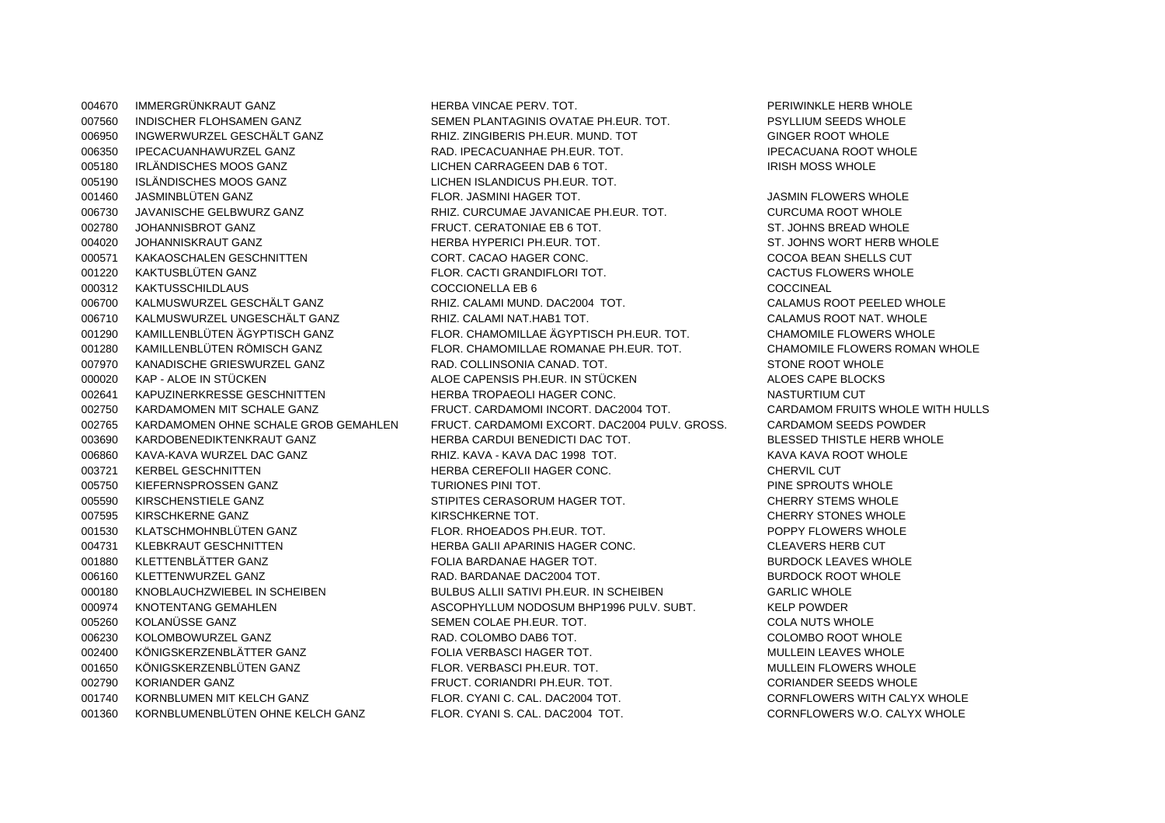007560 INDISCHER FLOHSAMEN GANZ SEMEN PLANTAGINIS OVATAE PH.EUR. TOT. PSYLLIUM SEEDS WHOLE 006950 INGWERWURZEL GESCHÄLT GANZ RHIZ. ZINGIBERIS PH.EUR. MUND. TOT GINGER ROOT WHOLE006350 IPECACUANHAWURZEL GANZ CONTROLL RAD. IPECACUANHAE PH.EUR. TOT. THE CACUANA ROOT WHOLE 005180 IRLÄNDISCHES MOOS GANZ LICHEN CARRAGEEN DAB 6 TOT. THE STRISH MOSS WHOLE 005190 ISLÄNDISCHES MOOS GANZ LICHEN ISLANDICUS PH.EUR. TOT. 001460 JASMINBLÜTEN GANZ GEREEN SEED FLOR. JASMINI HAGER TOT. THE STAND HAGER TOT SASMIN FLOWERS WHOLE 006730 JAVANISCHE GELBWURZ GANZ **RHIZ. CURCUMAE JAVANICAE PH.EUR. TOT.** CURCUMA ROOT WHOLE 002780 JOHANNISBROT GANZ CHANGER CHANGER FRUCT. CERATONIAE EB 6 TOT. ST. JOHNS BREAD WHOLE 004020 JOHANNISKRAUT GANZ **STARBA HYPERICI PH.EUR. TOT.** ST. JOHNS WORT HERB WHOLE 000571 KAKAOSCHALEN GESCHNITTEN CORT. CACAO HAGER CONC. COCOA BEAN SHELLS CUT001220 KAKTUSBLÜTEN GANZ FLOR ON THE FLOR. CACTI GRANDIFLORI TOT. THE STATUS FLOWERS WHOLE 000312 KAKTUSSCHILDLAUS COCCIONELLA EB 6 COCCINEAL006700 KALMUSWURZEL GESCHÄLT GANZ NEW RHIZ. CALAMI MUND. DAC2004 TOT. CALAMUS ROOT PEELED WHOLE 006710 KALMUSWURZEL UNGESCHÄLT GANZ RHIZ. CALAMI NAT.HAB1 TOT. CALAMUS ROOT NAT. WHOLE001290 KAMILLENBLÜTEN ÄGYPTISCH GANZ FLOR. CHAMOMILLAE ÄGYPTISCH PH.EUR. TOT. CHAMOMILE FLOWERS WHOLE 001280 KAMILLENBLÜTEN RÖMISCH GANZ FLOR. CHAMOMILLAE ROMANAE PH.EUR. TOT. CHAMOMILE FLOWERS ROMAN WHOLE 007970 KANADISCHE GRIESWURZEL GANZ RAD. COLLINSONIA CANAD. TOT. STONE ROOT WHOLE 000020 KAP - ALOE IN STÜCKEN ALOE CAPENSIS PH.EUR. IN STÜCKEN ALOES CAPE BLOCKS 002641 KAPUZINERKRESSE GESCHNITTEN HERBA TROPAEOLI HAGER CONC. NASTURTIUM CUT 002750 KARDAMOMEN MIT SCHALE GANZ FRUCT. CARDAMOMI INCORT. DAC2004 TOT. CARDAMOM FRUITS WHOLE WITH HULLS002765 KARDAMOMEN OHNE SCHALE GROB GEMAHLEN FRUCT. CARDAMOMI EXCORT. DAC2004 PULV. GROSS. CARDAMOM SEEDS POWDER003690 KARDOBENEDIKTENKRAUT GANZ HERBA CARDUI BENEDICTI DAC TOT. BLESSED THISTLE HERB WHOLE 006860 KAVA-KAVA WURZEL DAC GANZ RHIZ. KAVA - KAVA DAC 1998 TOT. KAVA TAVA KAVA KAVA ROOT WHOLE 003721 KERBEL GESCHNITTEN HERBA CEREFOLII HAGER CONC. CHERVIL CUT005750 KIEFERNSPROSSEN GANZ TURIONES PINI TOT. TOT PINE SPROUTS WHOLE 005590 KIRSCHENSTIELE GANZ STIPITES CERASORUM HAGER TOT. STIPITES CONSIDERED AND LESSENGER TOT. 007595 KIRSCHKERNE GANZ KIRSCHKERNE TOT. CHERRY STONES WHOLE001530 KLATSCHMOHNBLÜTEN GANZ FLOR. RHOEADOS PH.EUR. TOT. TOT. POPPY FLOWERS WHOLE 004731 KLEBKRAUT GESCHNITTEN HERBA GALII APARINIS HAGER CONC. CLEAVERS HERB CUT 001880 KLETTENBLÄTTER GANZ EIN DER SOLLA BARDANAE HAGER TOT. THE SURDOCK LEAVES WHOLE 006160 KLETTENWURZEL GANZ CONTROLLED BANDANAE DAC2004 TOT. THE SURDOCK ROOT WHOLE 000180 KNOBLAUCHZWIEBEL IN SCHEIBEN BULBUS ALLII SATIVI PH.EUR. IN SCHEIBEN GARLIC WHOLE000974 KNOTENTANG GEMAHLEN ASCOPHYLLUM NODOSUM BHP1996 PULV. SUBT. KELP POWDER 005260 KOLANÜSSE GANZ SEMEN COLAE PH.EUR. TOT. SEMEN COLAE PH.EUR. TOT. 006230 KOLOMBOWURZEL GANZ COLOMBO DAB6 TOT RAD. COLOMBO DAB6 TOT. COLOMBO ROOT WHOLE 002400 KÖNIGSKERZENBLÄTTER GANZ FOLIA VERBASCI HAGER TOT. THE SAME MULLEIN LEAVES WHOLE 001650 KÖNIGSKERZENBLÜTEN GANZ FLOR. VERBASCI PH.EUR. TOT. THE SAND HALLEIN FLOWERS WHOLE 002790 KORIANDER GANZ FRUCT. CORIANDRI PH.EUR. TOT. CORIANDER SEEDS WHOLE001740 KORNBLUMEN MIT KELCH GANZ FLOR. CYANI C. CAL. DAC2004 TOT. CORNFLOWERS WITH CALYX WHOLE 001360 KORNBLUMENBLÜTEN OHNE KELCH GANZ FLOR. CYANI S. CAL. DAC2004 TOT. CORNFLOWERS W.O. CALYX WHOLE

004670 IMMERGRÜNKRAUT GANZ HERBA VINCAE PERV. TOT. PERIMINKLE HERB WHOLE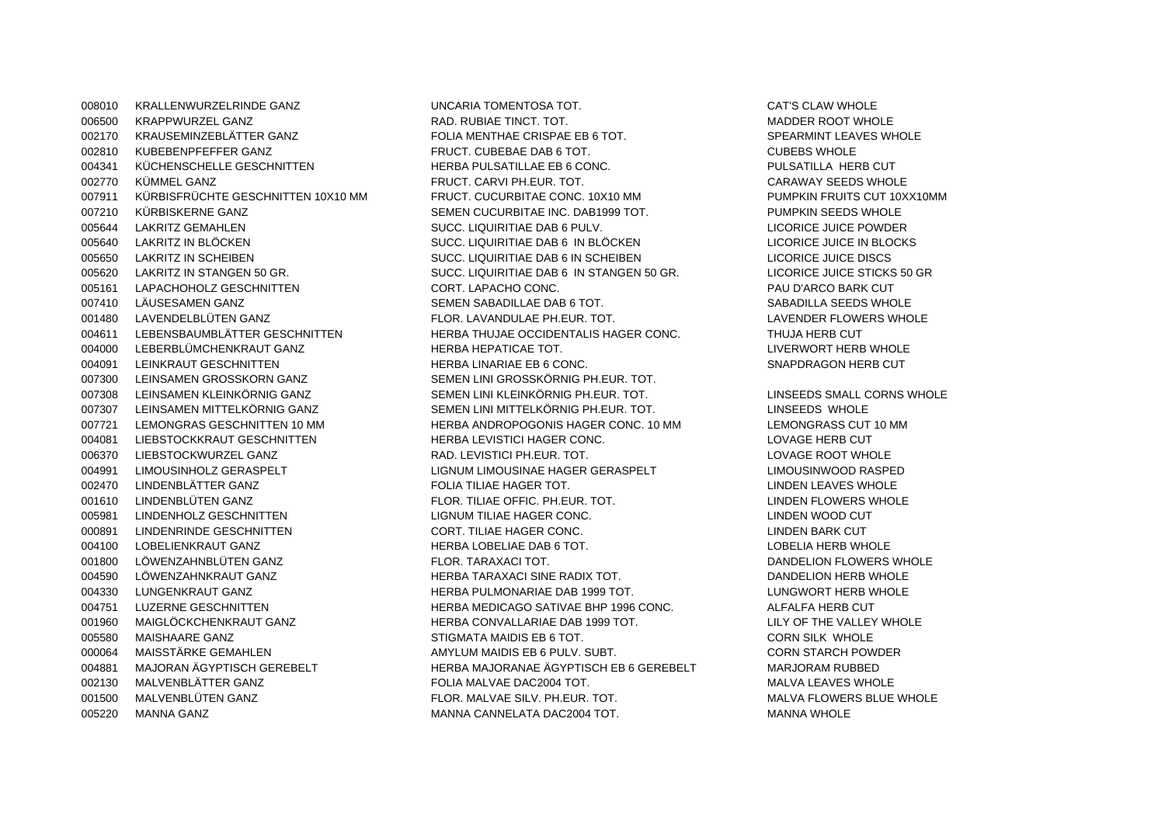008010 KRALLENWURZELRINDE GANZ UNCARIA TOMENTOSA TOT. CAT'S CLAW WHOLE007300 LEINSAMEN GROSSKORN GANZ SEMEN LINI GROSSKÖRNIG PH.EUR. TOT.

006500 KRAPPWURZEL GANZ CHARD AND RAD. RUBIAE TINCT. TOT. TOT. TOT AND MADDER ROOT WHOLE 002170 KRAUSEMINZEBLÄTTER GANZ FOLIA MENTHAE CRISPAE EB 6 TOT. SPEARMINT LEAVES WHOLE 002810 KUBEBENPFEFFER GANZ FRUCT CUBEBAE DAB 6 TOT CUBER CONSIDERS WHOLE 004341 KÜCHENSCHELLE GESCHNITTEN HERBA PULSATILLAE EB 6 CONC. PULSATILLA HERB CUT002770 KÜMMEL GANZ FRUCT. CARVI PH.EUR. TOT. CARAWAY SEEDS WHOLE007911 KÜRBISFRÜCHTE GESCHNITTEN 10X10 MM FRUCT. CUCURBITAE CONC. 10X10 MM PUMPKIN FRUITS CUT 10XX10MM007210 KÜRBISKERNE GANZ SEMEN CUCURBITAE INC. DAB1999 TOT. SEMEN SEEDS WHOLE 005644 LAKRITZ GEMAHLEN SUCC. LIQUIRITIAE DAB 6 PULV. LIQUIRITIAE DAB 1999 LICORICE JUICE POWDER 005640 LAKRITZ IN BLÖCKEN SUCC. LIQUIRITIAE DAB 6 IN BLÖCKEN LICORICE JUICE IN BLOCKS005650 LAKRITZ IN SCHEIBEN SUCC. LIQUIRITIAE DAB 6 IN SCHEIBEN LICORICE JUICE DISCS005620 LAKRITZ IN STANGEN 50 GR. SUCC. LIQUIRITIAE DAB 6 IN STANGEN 50 GR. SUCCRICE JUICE STICKS 50 GR 005161 LAPACHOHOLZ GESCHNITTEN CORT. LAPACHO CONC. PAU D'ARCO BARK CUT 007410 LÄUSESAMEN GANZ SEMEN SABADILLAE DAB 6 TOT. SABADILLA SEEDS WHOLE 001480 LAVENDELBLÜTEN GANZ ELOR LAVANDULAE PH. FUR. TOT LAVENDER FLOWERS WHOLE 004611 LEBENSBAUMBLÄTTER GESCHNITTEN HERBA THUJAE OCCIDENTALIS HAGER CONC. THUJA HERB CUT 004000 LEBERBLÜMCHENKRAUT GANZ HERBA HEPATICAE TOT. LIVERWORT HERB WHOLE 004091 LEINKRAUT GESCHNITTEN HERBA LINARIAE EB 6 CONC. SNAPDRAGON HERB CUT 007308 LEINSAMEN KLEINKÖRNIG GANZ SEMEN LINI KLEINKÖRNIG PH.EUR. TOT. SEMEN LINSEEDS SMALL CORNS WHOLE 007307 LEINSAMEN MITTELKÖRNIG GANZ SEMEN LINI MITTELKÖRNIG PH. EUR. TOT LEINISEEDS WHOLE 007721 LEMONGRAS GESCHNITTEN 10 MM HERBA ANDROPOGONIS HAGER CONC. 10 MM LEMONGRASS CUT 10 MM 004081 LIEBSTOCKKRAUT GESCHNITTEN HERBA LEVISTICI HAGER CONC. LOVAGE HERB CUT 006370 LIEBSTOCKWURZEL GANZ CHEER RAD. LEVISTICI PH.EUR. TOT. LOVAGE ROOT WHOLE 004991 LIMOUSINHOLZ GERASPELT LIGNUM LIGNUM LIMOUSINAE HAGER GERASPELT A LIMOUSINWOOD RASPED 002470 LINDENBLÄTTER GANZ CONTROLLER TOT AND TRIANGER TOT AND TRIANGER TOT. 001610 LINDENBLÜTEN GANZ FLOR. TILIAE OFFIC. PH. EUR. TOT. THE SERVERS WHOLE 005981 LINDENHOLZ GESCHNITTEN LIGNUM TILIAE HAGER CONC. LINDEN WOOD CUT000891 LINDENRINDE GESCHNITTEN CORT. TILIAE HAGER CONC. LINDEN BARK CUT 004100 LOBELIENKRAUT GANZ HERBA LOBELIAE DAB 6 TOT. LOBELIA HERB WHOLE 001800 LÖWENZAHNBLÜTEN GANZ FLOR. TARAXACI TOT. TARAXACI TOT. SANDELION FLOWERS WHOLE 004590 LÖWENZAHNKRAUT GANZ HERBA TARAXACI SINE RADIX TOT. DANDELION HERB WHOLE 004330 LUNGENKRAUT GANZ HERBA PULMONARIAE DAB 1999 TOT. A LUNGWORT HERB WHOLE 004751 LUZERNE GESCHNITTEN HERBA MEDICAGO SATIVAE BHP 1996 CONC. ALFALFA HERB CUT 001960 MAIGLÖCKCHENKRAUT GANZ HERBA CONVALLARIAE DAB 1999 TOT. HERE HALLEY WHOLE 005580 MAISHAARE GANZ STIGMATA MAIDIS EB 6 TOT. STIGMATA MAIDIS EB 6 TOT. 000064 MAISSTÄRKE GEMAHLEN CORN AMYLUM MAIDIS EB 6 PULV. SUBT. CORN STARCH POWDER 004881 MAJORAN ÄGYPTISCH GEREBELT HERBA MAJORANAE ÄGYPTISCH EB 6 GEREBELT MARJORAM RUBBED 002130 MALVENBLÄTTER GANZ EN STANDER FOLIA MALVAE DAC2004 TOT. THE STAND MALVA LEAVES WHOLE 001500 MALVENBLÜTEN GANZ FLOR MALVAE SILV. PH.EUR. TOT. TOT. THEOR MALVA FLOWERS BLUE WHOLE 005220 MANNA GANZ MANNA CANNELATA DAC2004 TOT. MANNA WHOLE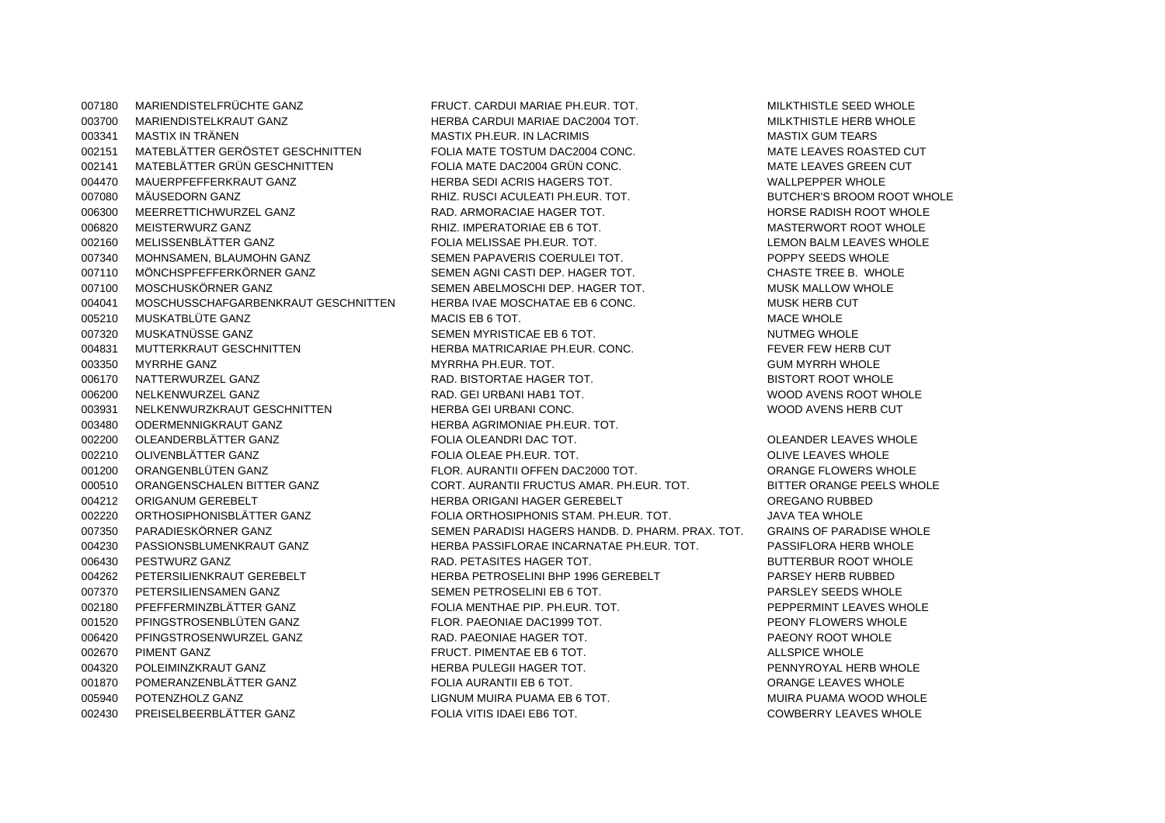003480 ODERMENNIGKRAUT GANZ HERBA AGRIMONIAE PH.EUR. TOT.

007180 MARIENDISTELFRÜCHTE GANZ FRUCT. CARDUI MARIAE PH.EUR. TOT. ANNE MILKTHISTLE SEED WHOLE 003700 MARIENDISTELKRAUT GANZ HERBA CARDUI MARIAE DAC2004 TOT. HTTP://www.milkthistle HERB WHOLE 003341 MASTIX IN TRÄNEN MASTIX PH.EUR. IN LACRIMIS MASTIX GUM TEARS002151 MATEBLÄTTER GERÖSTET GESCHNITTEN FOLIA MATE TOSTUM DAC2004 CONC. WE MATE LEAVES ROASTED CUT 002141 MATEBLÄTTER GRÜN GESCHNITTEN FOLIA MATE DAC2004 GRÜN CONC. MATE LEAVES GREEN CUT004470 MAUERPFEFFERKRAUT GANZ HERBA SEDI ACRIS HAGERS TOT. THERE AND HERBA SEDI ACRIS HAGERS TOT. 007080 MÄUSEDORN GANZ CHELLER HELL RUSCI ACULEATI PH.EUR. TOT. AND THE BUTCHER'S BROOM ROOT WHOLE 006300 MEERRETTICHWURZEL GANZ CHE SAND ARAD. ARMORACIAE HAGER TOT. THE SAND RESERT ADISH ROOT WHOLE 006820 MEISTERWURZ GANZ CHE STEIN BEINZ EN BEINZ. IMPERATORIAE EB 6 TOT. THE STEIN MASTERWORT ROOT WHOLE 002160 MELISSENBLÄTTER GANZ FOLIA MELISSAE PH.EUR. TOT. LEMON BALM LEAVES WHOLE007340 MOHNSAMEN, BLAUMOHN GANZ SEMEN PAPAVERIS COERULEI TOT. SEMEN PAPAVERIS COERULEI TOT. 007110 MÖNCHSPFEFFERKÖRNER GANZ SEMEN AGNI CASTI DEP. HAGER TOT. SEMEN AGNI CASTI DEP. HAGER TOT. 007100 MOSCHUSKÖRNER GANZ SEMEN ABELMOSCHI DEP. HAGER TOT. MUSK MALLOW WHOLE004041 MOSCHUSSCHAFGARBENKRAUT GESCHNITTEN HERBA IVAE MOSCHATAE EB 6 CONC. MUSK HERB CUT 005210 MUSKATBLÜTE GANZ CONTROLLED MACIS ER 6 TOT CONTROLLED MACE WHOLE 007320 MUSKATNÜSSE GANZ SEMEN MYRISTICAE EB 6 TOT. SEMEN MYRISTICAE EB 6 TOT. 004831 MUTTERKRAUT GESCHNITTEN HERBA MATRICARIAE PH.EUR. CONC. HERE FEVER FEW HERB CUT 003350 MYRRHE GANZ **MYRRHA PH.EUR. TOT.** TOT. TOT. TOT. TOT. TOT. TO GUM MYRRH WHOLE 006170 NATTERWURZEL GANZ CONNECTIVE STATE RAD. BISTORTAE HAGER TOT. THE SECOND BISTORT ROOT WHOLE 006200 NELKENWURZEL GANZ CONTROLLED THE RAD. GEI URBANI HAB1 TOT. THE SERVICE OF AVENS ROOT WHOLE 003931 NELKENWURZKRAUT GESCHNITTEN HERBA GEI URBANI CONC. WOOD AVENS HERB CUT002200 OLEANDERBLÄTTER GANZ FOLIA OLEANDRI DAC TOT. OLEANDER LEAVES WHOLE002210 OLIVENBLÄTTER GANZ FOLIA OLEAE PH.EUR. TOT. OLIVE LEAVES WHOLE001200 ORANGENBLÜTEN GANZ FLOR. AURANTII OFFEN DAC2000 TOT. ORANGE FLOWERS WHOLE 000510 ORANGENSCHALEN BITTER GANZ CORT. AURANTII FRUCTUS AMAR. PH.EUR. TOT. BITTER ORANGE PEELS WHOLE004212 ORIGANUM GEREBELT HERBA ORIGANI HAGER GEREBELT OREGANO RUBBED002220 ORTHOSIPHONISBLÄTTER GANZ FOLIA ORTHOSIPHONIS STAM. PH.EUR. TOT. SAVA TEA WHOLE 007350 PARADIESKÖRNER GANZ SEMEN PARADISI HAGERS HANDB. D. PHARM. PRAX. TOT. GRAINS OF PARADISE WHOLE 004230 PASSIONSBLUMENKRAUT GANZ HERBA PASSIFLORAE INCARNATAE PH.EUR. TOT. PASSIFLORA HERB WHOLE 006430 PESTWURZ GANZ CONTROLLER THE RAD. PETASITES HAGER TOT. THE RAD. PERSON WHOLE 004262 PETERSILIENKRAUT GEREBELT HERBA PETROSELINI BHP 1996 GEREBELT PARSEY HERB RUBBED 007370 PETERSILIENSAMEN GANZ SEMEN PETROSELINI EB 6 TOT. SEMEN PETROSELINI EB 6 TOT. 002180 PFEFFERMINZBLÄTTER GANZ FOLIA MENTHAE PIP. PH.EUR. TOT. PEPPERMINT LEAVES WHOLE 001520 PFINGSTROSENBLÜTEN GANZ FLOR. PAEONIAE DAC1999 TOT. THE PEONY FLOWERS WHOLE 006420 PFINGSTROSENWURZEL GANZ RAD. PAEONIAE HAGER TOT. THE SERVICE PAEONY ROOT WHOLE 002670 PIMENT GANZ FRUCT. PIMENTAE EB 6 TOT. TO ALLSPICE WHOLE 004320 POLEIMINZKRAUT GANZ CHERBA PULEGII HAGER TOT. THERBA PULEGII HAGER TOT. 001870 POMERANZENBLÄTTER GANZ FOLIA AURANTILEB 6 TOT. SOM AND SOM AND SOM AND FOLIA AURANTILEB 6 TOT. 005940 POTENZHOLZ GANZ CONTROLLY CONTROLLY CONTROLLY A LIGNUM MUIRA PUAMA EB 6 TOT. THE SAME MUIRA PUAMA WOOD WHOLE 002430 PREISELBEERBLÄTTER GANZ FOLIA VITIS IDAEI EB6 TOT. COWBERRY LEAVES WHOLE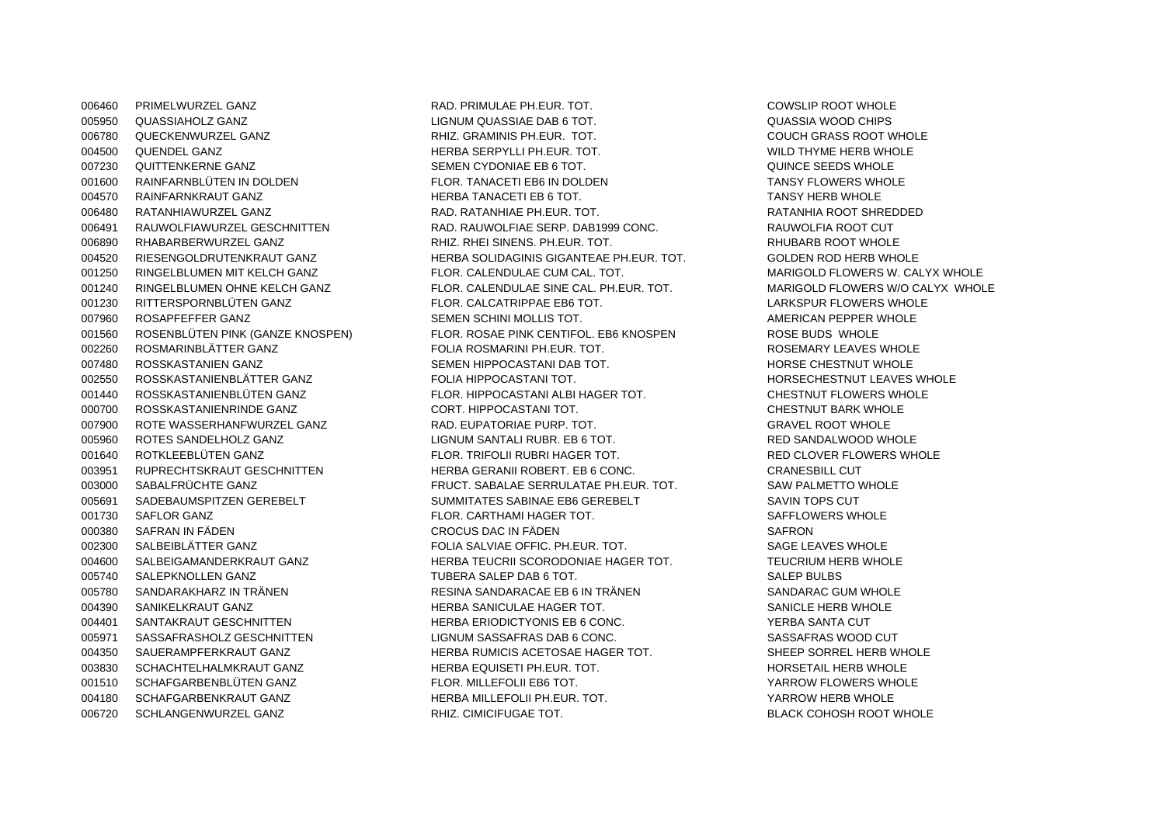006460 PRIMELWURZEL GANZ CONSERVERSION CONSERVERSION RAD. PRIMULAE PH.EUR. TOT. CONSERVERSION COWSLIP ROOT WHOLE

005950 QUASSIAHOLZ GANZ LIGNUM QUASSIAE DAB 6 TOT. QUASSIA WOOD CHIPS006780 QUECKENWURZEL GANZ RHIZ. GRAMINIS PH.EUR. TOT. COUCH GRASS ROOT WHOLE004500 QUENDEL GANZ HERBA SERPYLLI PH.EUR. TOT. TOT. WILD THYME HERB WHOLE 007230 QUITTENKERNE GANZ SEMEN CYDONIAE EB 6 TOT. SEMEN CYDONIAE EB 6 TOT. 001600 RAINFARNBLÜTEN IN DOLDEN FLOR. TANACETI EB6 IN DOLDEN TANSY FLOWERS WHOLE004570 RAINFARNKRAUT GANZ HERBA TANACETI EB 6 TOT. TANACETI EB 6 TOT. 006480 RATANHIAWURZEL GANZ CHARD RAD. RAD. RATANHIAE PH.EUR. TOT. CHARD RATANHIA ROOT SHREDDED 006491 RAUWOLFIAWURZEL GESCHNITTEN RAD. RAUWOLFIAE SERP. DAB1999 CONC. RAUWOLFIA ROOT CUT006890 RHABARBERWURZEL GANZ CHEMEL RHIZ. RHIZ. RHEI SINENS. PH.EUR. TOT. CHEMEL RHUBARB ROOT WHOLE 004520 RIESENGOLDRUTENKRAUT GANZ HERBA SOLIDAGINIS GIGANTEAE PH.EUR. TOT. GOLDEN ROD HERB WHOLE001250 RINGELBLUMEN MIT KELCH GANZ FLOR. CALENDULAE CUM CAL. TOT. A MARIGOLD FLOWERS W. CALYX WHOLE 001240 RINGELBLUMEN OHNE KELCH GANZ FLOR. CALENDULAE SINE CAL. PH. FUR. TOT. AN ARIGOLD FLOWERS W/O CALYX WHOLE 001230 RITTERSPORNBLÜTEN GANZ FLOR. CALCATRIPPAE EB6 TOT. LARKSPUR FLOWERS WHOLE 007960 ROSAPFEFFER GANZ SEMEN SEMEN SCHINI MOLLIS TOT STOT AMERICAN PEPPER WHOLE 001560 ROSENBLÜTEN PINK (GANZE KNOSPEN) FLOR. ROSAE PINK CENTIFOL. EB6 KNOSPEN ROSE BUDS WHOLE 002260 ROSMARINBLÄTTER GANZ FOLIA ROSMARINI PH.EUR. TOT. ROSEMARY LEAVES WHOLE007480 ROSSKASTANIEN GANZ SEMEN HIPPOCASTANI DAB TOT. SEMEN HIPPOCASTANI DAR TOT. 002550 ROSSKASTANIENBLÄTTER GANZ FOLIA HIPPOCASTANI TOT. SANNE HORSECHESTNUT LEAVES WHOLE 001440 ROSSKASTANIENBLÜTEN GANZ FLOR. HIPPOCASTANI ALBI HAGER TOT. CHESTNUT FLOWERS WHOLE 000700 ROSSKASTANIENRINDE GANZ CORT. HIPPOCASTANI TOT. CHESTNUT BARK WHOLE007900 ROTE WASSERHANFWURZEL GANZ RAD. EUPATORIAE PURP. TOT. TOT. GRAVEL ROOT WHOLE 005960 ROTES SANDELHOLZ GANZ LIGNUM SANTALI RUBR. EB 6 TOT. RED SANDALWOOD WHOLE001640 ROTKLEEBLÜTEN GANZ FLOR. TRIFOLII RUBRI HAGER TOT. TRIFOLII RUBRI HAGER TOT. 003951 RUPRECHTSKRAUT GESCHNITTEN HERBA GERANII ROBERT. EB 6 CONC. CRANESBILL CUT 003000 SABALFRÜCHTE GANZ SABALATE SABALAE SERRULATAE PH.EUR. TOT. SABALAE SERRULATAE PH.EUR. TOT. SAW PALMETTO WHOLE 005691 SADEBAUMSPITZEN GEREBELT SUMMITATES SABINAE EB6 GEREBELT SAVIN TOPS CUT 001730 SAFLOR GANZ **SAFLOR GANZ SAFFLOWERS WHOLE** FLOR. CARTHAMI HAGER TOT. SAFFLOWERS WHOLE 000380 SAFRAN IN FÄDEN SAFRON SAFRON SAFRON SAFRON SAFRON SAFRON SAFRON SAFRON 002300 SALBEIBLÄTTER GANZ FOLLA SALVIAE OFFIC. PH. FUR. TOT. SAGE LEAVES WHOLE 004600 SALBEIGAMANDERKRAUT GANZ HERBA TEUCRII SCORODONIAE HAGER TOT. THEUCRIUM HERB WHOLE 005740 SALEPKNOLLEN GANZ SALEP BULBS TUBERA SALEP DAB 6 TOT. 005780 SANDARAKHARZ IN TRÄNEN RESINA SANDARACAE EB 6 IN TRÄNEN SANDARAC GUM WHOLE 004390 SANIKELKRAUT GANZ NERBA SANICULAE HAGER TOT. SANICLE HERB WHOLE 004401 SANTAKRAUT GESCHNITTEN HERBA ERIODICTYONIS EB 6 CONC. YERBA SANTA CUT 005971 SASSAFRASHOLZ GESCHNITTEN LIGNUM SASSAFRAS DAB 6 CONC. SASSAFRAS WOOD CUT 004350 SAUERAMPFERKRAUT GANZ HERBA RUMICIS ACETOSAE HAGER TOT. SHEEP SORREL HERB WHOLE 003830 SCHACHTELHALMKRAUT GANZ HERBA EQUISETI PH.EUR. TOT. HERBA HORSETAIL HERB WHOLE 001510 SCHAFGARBENBLÜTEN GANZ FLOR. MILLEFOLII EB6 TOT. YARROW FLOWERS WHOLE004180 SCHAFGARBENKRAUT GANZ HERBA MILLEFOLII PH.EUR. TOT. THERBA MILLEFOLII PH.EUR. TOT. 006720 SCHLANGENWURZEL GANZ RHIZ. CIMICIFUGAE TOT. BLACK COHOSH ROOT WHOLE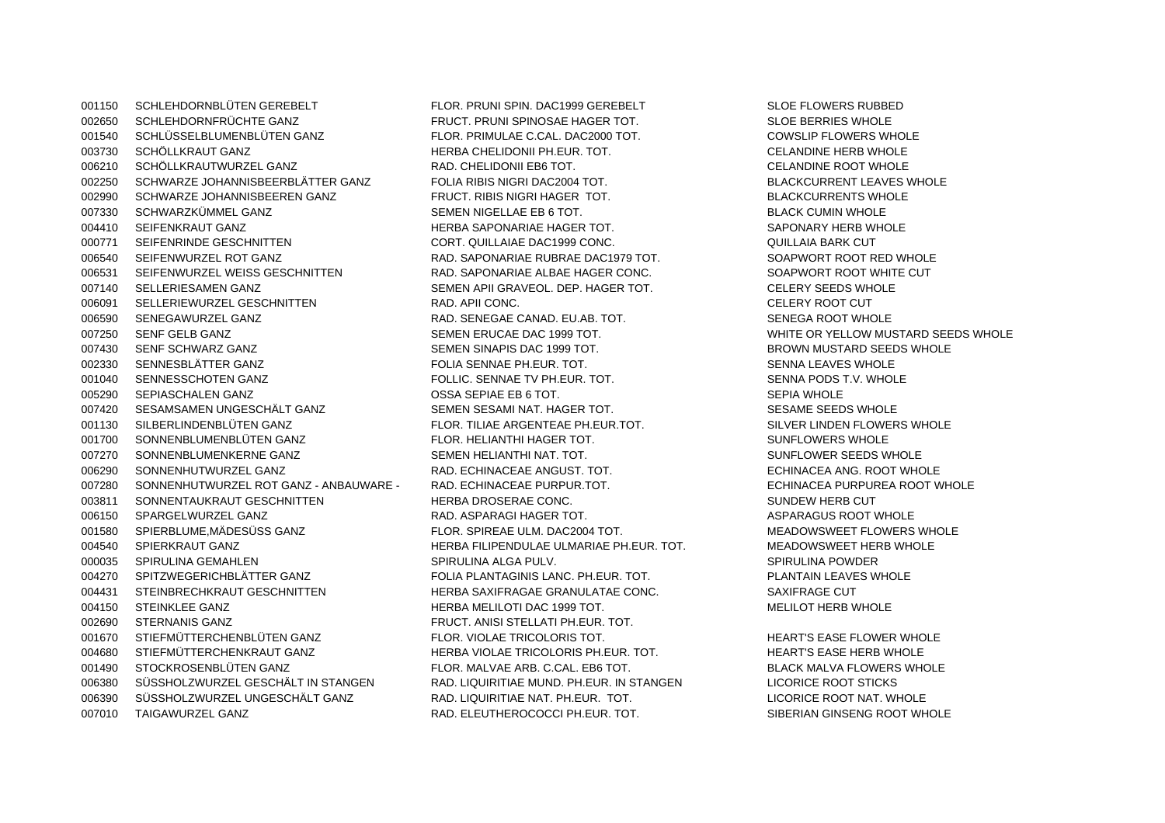002650 SCHLEHDORNFRÜCHTE GANZ FRUCT. PRUNI SPINOSAE HAGER TOT. SLOE BERRIES WHOLE 001540 SCHLÜSSELBLUMENBLÜTEN GANZ FLOR. PRIMULAE C.CAL. DAC2000 TOT. COWSLIP FLOWERS WHOLE 003730 SCHÖLLKRAUT GANZ HERBA CHELIDONII PH.EUR. TOT. TOT. CELANDINE HERB WHOLE 006210 SCHÖLLKRAUTWURZEL GANZ CHELIDONII EB6 TOT. CHELIDONII EB6 TOT. 002250 SCHWARZE JOHANNISBEERBLÄTTER GANZ FOLIA RIBIS NIGRI DAC2004 TOT. SAN BLACKCURRENT LEAVES WHOLE 002990 SCHWARZE JOHANNISBEEREN GANZ FRUCT. RIBIS NIGRI HAGER TOT. THE BLACKCURRENTS WHOLE 007330 SCHWARZKÜMMEL GANZ SEMEN NIGELLAE EB 6 TOT. SEMEN NIGELLAE EB 6 TOT. 004410 SEIFENKRAUT GANZ CHERBA SAPONARIAE HAGER TOT. SAPONARY HERB WHOLE 000771 SEIFENRINDE GESCHNITTEN CORT. QUILLAIAE DAC1999 CONC. QUILLAIA BARK CUT006540 SEIFENWURZEL ROT GANZ RAD. SAPONARIAE RUBRAE DAC1979 TOT. SOAPWORT ROOT RED WHOLE006531 SEIFENWURZEL WEISS GESCHNITTEN RAD. SAPONARIAE ALBAE HAGER CONC. SOAPWORT ROOT WHITE CUT 007140 SELLERIESAMEN GANZ SEMEN APIL GRAVEOL. DEP. HAGER TOT. SEMEN APIL GRAVEOL. DEP. HAGER TOT. 006091 SELLERIEWURZEL GESCHNITTEN RAD. APII CONC. CELERY ROOT CUT006590 SENEGAWURZEL GANZ RAD. SENEGAE CANAD. EU.AB. TOT. SENEGA ROOT WHOLE007250 SENF GELB GANZ SEMEN ERUCAE DAC 1999 TOT. WHITE OR YELLOW MUSTARD SEEDS WHOLE 007430 SENF SCHWARZ GANZ SEMEN SEMEN SINAPIS DAC 1999 TOT. SEMEN SINAPIS DAC 1999 TOT. 002330 SENNESBLÄTTER GANZ SENNA EROLLA SENNAE PH.EUR. TOT. SENNA LEAVES WHOLE 001040 SENNESSCHOTEN GANZ FOLLIC. SENNAE TV PH.EUR. TOT. SENNA PODS T.V. WHOLE 005290 SEPIASCHALEN GANZ OSSA SEPIAE EB 6 TOT. SEPIA WHOLE007420 SESAMSAMEN UNGESCHÄLT GANZ SEMEN SESAMI NAT. HAGER TOT. SESAMI NAT. HAGER TOT. 001130 SILBERLINDENBLÜTEN GANZ FLOR. TILIAE ARGENTEAE PH.EUR.TOT. SILVER LINDEN FLOWERS WHOLE 001700 SONNENBLUMENBLÜTEN GANZ FLOR. HELIANTHI HAGER TOT. SUNFLOWERS WHOLE 007270 SONNENBLUMENKERNE GANZ SEMEN HELIANTHI NAT. TOT. SEMEN HELIANTHI NAT. SUNTLOWER SEEDS WHOLE 006290 SONNENHUTWURZEL GANZ CHEMINACEAE ANGUST. TOT. TOT. TOT. THE SECHINACEA ANG. ROOT WHOLE 007280 SONNENHUTWURZEL ROT GANZ - ANBAUWARE - RAD. ECHINACEAE PURPUR.TOT. SAN ECHINACEA PURPUREA ROOT WHOLE 003811 SONNENTAUKRAUT GESCHNITTEN HERBA DROSERAE CONC. SUNDEW HERB CUT 006150 SPARGELWURZEL GANZ CHEMIT SAND ASPARAGI HAGER TOT. THE SERVICE SERVICE SOOT WHOLE 001580 SPIERBLUME.MÄDESÜSS GANZ FLOR. SPIREAE ULM. DAC2004 TOT. WEADOWSWEET FLOWERS WHOLE 004540 SPIERKRAUT GANZ HERBA FILIPENDULAE ULMARIAE PH.EUR. TOT. HEADOWSWEET HERB WHOLE 000035 SPIRULINA GEMAHLEN SPIRULINA ALGA PULV. SPIRULINA POWDER004270 SPITZWEGERICHBLÄTTER GANZ FOLIA PLANTAGINIS LANC. PH.EUR. TOT. PLANTAIN LEAVES WHOLE 004431 STEINBRECHKRAUT GESCHNITTEN HERBA SAXIFRAGAE GRANULATAE CONC. SAXIFRAGE CUT 004150 STEINKLEE GANZ **STEINKLEE GANZ** HERBA MELILOTI DAC 1999 TOT. 002690 STERNANIS GANZ FRUCT. ANISI STELLATI PH.EUR. TOT. 001670 STIEFMÜTTERCHENBLÜTEN GANZ FLOR. VIOLAE TRICOLORIS TOT. THEART'S EASE FLOWER WHOLE 004680 STIEFMÜTTERCHENKRAUT GANZ HERBA VIOLAE TRICOLORIS PH.EUR. TOT. HEART'S EASE HERB WHOLE 001490 STOCKROSENBLÜTEN GANZ FLOR. MALVAE ARB. C.CAL. EB6 TOT. SALL ARB. C.CAL. EB6 TOT. 006380 SÜSSHOLZWURZEL GESCHÄLT IN STANGEN RAD. LIQUIRITIAE MUND. PH.EUR. IN STANGEN LICORICE ROOT STICKS006390 SÜSSHOLZWURZEL UNGESCHÄLT GANZ RAD. LIQUIRITIAE NAT. PH.EUR. TOT. LICORICE ROOT NAT. WHOLE 007010 TAIGAWURZEL GANZ CHARD SELEUTHEROCOCCI PH.EUR. TOT. SIBERIAN GINSENG ROOT WHOLE

001150 SCHLEHDORNBLÜTEN GEREBELT FLOR. PRUNI SPIN. DAC1999 GEREBELT SALOE FLOWERS RUBBED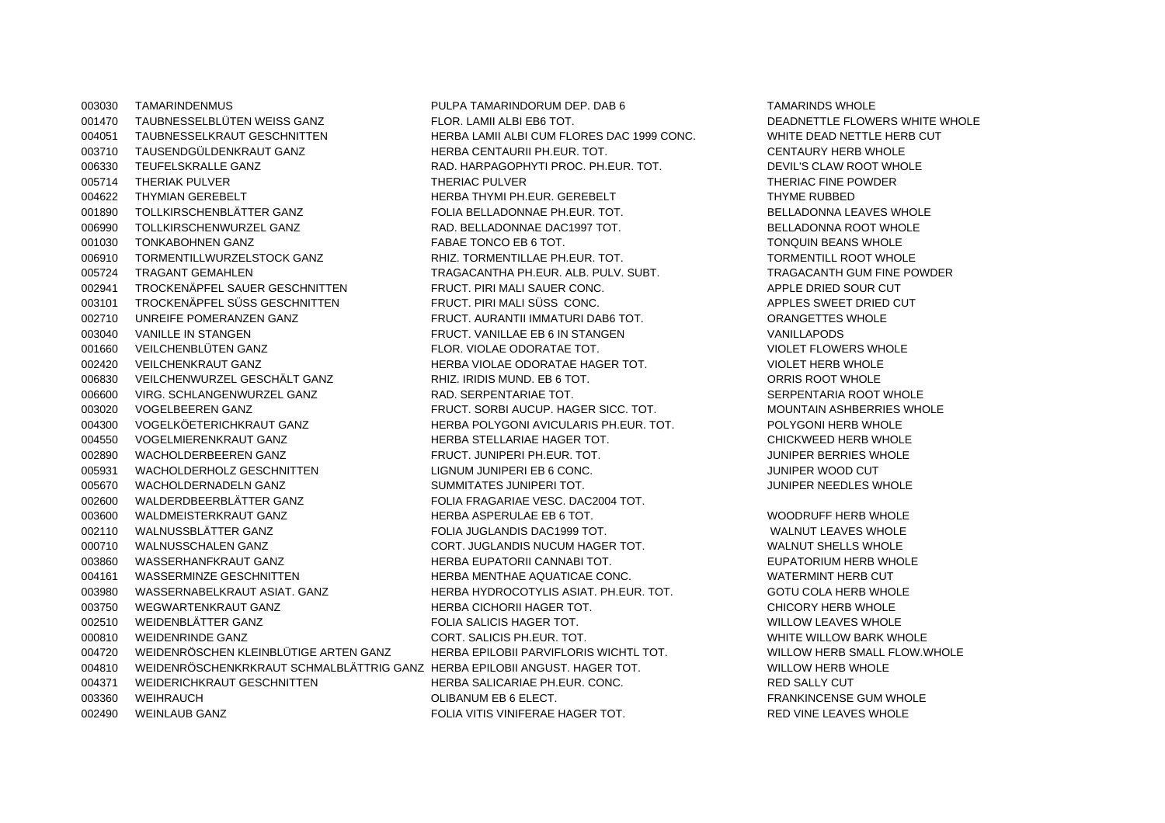003030 TAMARINDENMUS PULPA TAMARINDORUM DEP. DAB 6 TAMARINDS WHOLE001470 TAUBNESSELBLÜTEN WEISS GANZ FLOR. LAMII ALBI EB6 TOT. CHEAD AND THE PLOWERS WHITE WHOLE 004051 TAUBNESSELKRAUT GESCHNITTEN HERBA LAMII ALBI CUM FLORES DAC 1999 CONC. WHITE DEAD NETTLE HERB CUT003710 TAUSENDGÜLDENKRAUT GANZ HERBA CENTAURII PH.EUR. TOT. THERE HERB WHOLE 006330 TEUFELSKRALLE GANZ CHAREL AND THE RAD. HARPAGOPHYTI PROC. PH.EUR. TOT. THE DEVIL'S CLAW ROOT WHOLE 005714 THERIAK PULVER THERIAC PULVER THERIAC PULVER THERIAC PULVER THERIAC FINE POWDER 004622 THYMIAN GEREBELT THERBA THYMI PH.EUR. GEREBELT THYME RUBBED 001890 TOLLKIRSCHENBLÄTTER GANZ FOLIA BELLADONNAE PH.EUR. TOT. SELLADONNA LEAVES WHOLE 006990 TOLLKIRSCHENWURZEL GANZ RAD. BELLADONNAE DAC1997 TOT. SELLADONNA ROOT WHOLE 001030 TONKABOHNEN GANZ CHE STABAE TONCO ER 6 TOT. TO THE STABAE TONCO ER 6 TOT. 006910 TORMENTILLWURZELSTOCK GANZ RHIZ. TORMENTILLAE PH.EUR. TOT. TOT. TORMENTILL ROOT WHOLE 005724 TRAGANT GEMAHLEN TRAGACANTHA PH.EUR. ALB. PULV. SUBT. TRAGACANTH GUM FINE POWDER002941 TROCKENÄPFEL SAUER GESCHNITTEN FRUCT. PIRI MALI SAUER CONC. APPLE DRIED SOUR CUT003101 TROCKENÄPFEL SÜSS GESCHNITTEN FRUCT. PIRI MALI SÜSS CONC. APPLES SWEET DRIED CUT 002710 UNREIFE POMERANZEN GANZ FRUCT. AURANTII IMMATURI DAB6 TOT. CHE TO ARANGETTES WHOLE 003040 VANILLE IN STANGEN FRUCT. VANILLAE EB 6 IN STANGEN VANILLAPODS001660 VEILCHENBLÜTEN GANZ FLOR. VIOLAE ODORATAE TOT. THE SAND FLOR. VIOLET FLOWERS WHOLE 002420 VEILCHENKRAUT GANZ HERBA VIOLAE ODORATAE HAGER TOT. VIOLET HERB WHOLE006830 VEILCHENWURZEL GESCHÄLT GANZ RHIZ. IRIDIS MUND. EB 6 TOT. ORRIS ROOT WHOLE 006600 VIRG. SCHLANGENWURZEL GANZ RAD. SERPENTARIAE TOT. SERPENTARIA ROOT WHOLE 003020 VOGELBEEREN GANZ FRUCT. SORBI AUCUP. HAGER SICC. TOT. AND INTAIN ASHBERRIES WHOLE 004300 VOGELKÖETERICHKRAUT GANZ HERBA POLYGONI AVICULARIS PH.EUR. TOT. POLYGONI HERB WHOLE 004550 VOGELMIERENKRAUT GANZ HERBA STELLARIAE HAGER TOT. THERE CHICKWEED HERB WHOLE 002890 WACHOLDERBEEREN GANZ FRUCT. JUNIPERI PH.EUR. TOT. JUNIPER BERRIES WHOLE005931 WACHOLDERHOLZ GESCHNITTEN LIGNUM JUNIPERI EB 6 CONC. JUNIPER WOOD CUT005670 WACHOLDERNADELN GANZ SUMMITATES JUNIPERI TOT. THE SUMMITATES SUMMITATES SUMPLERITOT. 002600 WALDERDBEERBLÄTTER GANZ FOLIA FRAGARIAE VESC. DAC2004 TOT. 003600 WALDMEISTERKRAUT GANZ HERBA ASPERULAE EB 6 TOT. THERE WHOLE THERB WHOLE 002110 WALNUSSBLÄTTER GANZ FOLIA JUGLANDIS DAC1999 TOT. WALNUT LEAVES WHOLE000710 WALNUSSCHALEN GANZ CORT. JUGLANDIS NUCUM HAGER TOT. WALNUT SHELLS WHOLE003860 WASSERHANFKRAUT GANZ HERBA EUPATORII CANNABI TOT. THE SELLENT TOT ANNOUN HERB WHOLE 004161 WASSERMINZE GESCHNITTEN HERBA MENTHAE AQUATICAE CONC. WATERMINT HERB CUT 003980 WASSERNABELKRAUT ASIAT. GANZ HERBA HYDROCOTYLIS ASIAT. PH.EUR. TOT. GOTU COLA HERB WHOLE 003750 WEGWARTENKRAUT GANZ HERBA CICHORII HAGER TOT. THERBA CICHORII HAGER TOT. 002510 WEIDENBLÄTTER GANZ FOLIA SALICIS HAGER TOT. WILLOW LEAVES WHOLE000810 WEIDENRINDE GANZ CORT. SALICIS PH.EUR. TOT. TOT. WHITE WILLOW BARK WHOLE 004720 WEIDENRÖSCHEN KLEINBLÜTIGE ARTEN GANZ HERBA EPILOBII PARVIFLORIS WICHTL TOT. WILLOW HERB SMALL FLOW.WHOLE004810 WEIDENRÖSCHENKRKRAUT SCHMALBLÄTTRIG GANZ HERBA EPILOBII ANGUST. HAGER TOT. WILLOW HERB WHOLE004371 WEIDERICHKRAUT GESCHNITTEN HERBA SALICARIAE PH.EUR. CONC. RED SALLY CUT003360 WEIHRAUCH OLIBANUM EB 6 ELECT. FRANKINCENSE GUM WHOLE002490 WEINLAUB GANZ CHARGER TOT THE STATE OF THE STATE OF THE STATE OF THE RED VINE LEAVES WHOLE